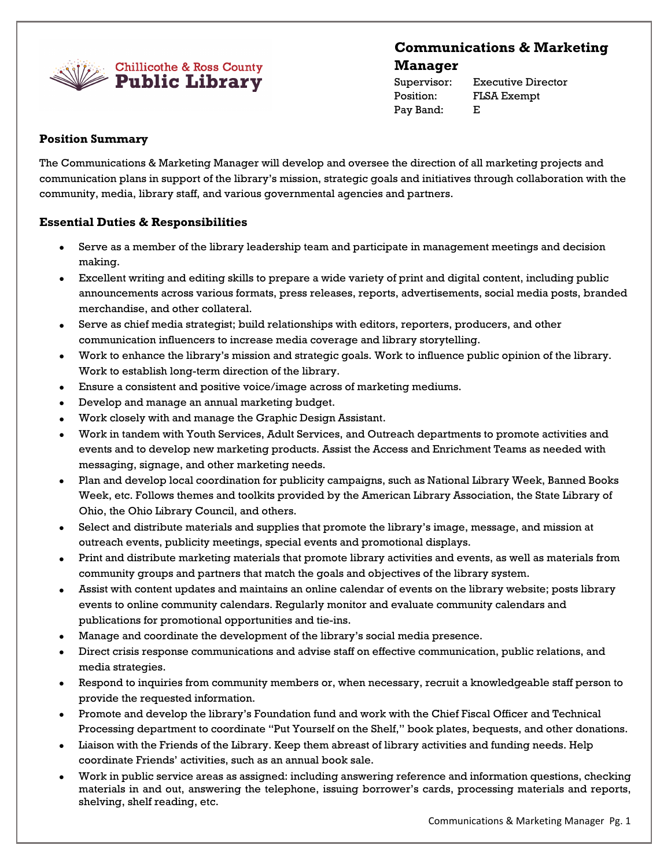

# **Communications & Marketing Manager**

Pay Band: E

Supervisor: Executive Director Position: FLSA Exempt

# **Position Summary**

The Communications & Marketing Manager will develop and oversee the direction of all marketing projects and communication plans in support of the library's mission, strategic goals and initiatives through collaboration with the community, media, library staff, and various governmental agencies and partners.

# **Essential Duties & Responsibilities**

- Serve as a member of the library leadership team and participate in management meetings and decision making.
- Excellent writing and editing skills to prepare a wide variety of print and digital content, including public announcements across various formats, press releases, reports, advertisements, social media posts, branded merchandise, and other collateral.
- Serve as chief media strategist; build relationships with editors, reporters, producers, and other communication influencers to increase media coverage and library storytelling.
- Work to enhance the library's mission and strategic goals. Work to influence public opinion of the library. Work to establish long-term direction of the library.
- Ensure a consistent and positive voice/image across of marketing mediums.
- Develop and manage an annual marketing budget.
- Work closely with and manage the Graphic Design Assistant.
- Work in tandem with Youth Services, Adult Services, and Outreach departments to promote activities and events and to develop new marketing products. Assist the Access and Enrichment Teams as needed with messaging, signage, and other marketing needs.
- Plan and develop local coordination for publicity campaigns, such as National Library Week, Banned Books Week, etc. Follows themes and toolkits provided by the American Library Association, the State Library of Ohio, the Ohio Library Council, and others.
- Select and distribute materials and supplies that promote the library's image, message, and mission at outreach events, publicity meetings, special events and promotional displays.
- Print and distribute marketing materials that promote library activities and events, as well as materials from community groups and partners that match the goals and objectives of the library system.
- Assist with content updates and maintains an online calendar of events on the library website; posts library events to online community calendars. Regularly monitor and evaluate community calendars and publications for promotional opportunities and tie-ins.
- Manage and coordinate the development of the library's social media presence.
- Direct crisis response communications and advise staff on effective communication, public relations, and media strategies.
- Respond to inquiries from community members or, when necessary, recruit a knowledgeable staff person to provide the requested information.
- Promote and develop the library's Foundation fund and work with the Chief Fiscal Officer and Technical Processing department to coordinate "Put Yourself on the Shelf," book plates, bequests, and other donations.
- Liaison with the Friends of the Library. Keep them abreast of library activities and funding needs. Help coordinate Friends' activities, such as an annual book sale.
- Work in public service areas as assigned: including answering reference and information questions, checking materials in and out, answering the telephone, issuing borrower's cards, processing materials and reports, shelving, shelf reading, etc.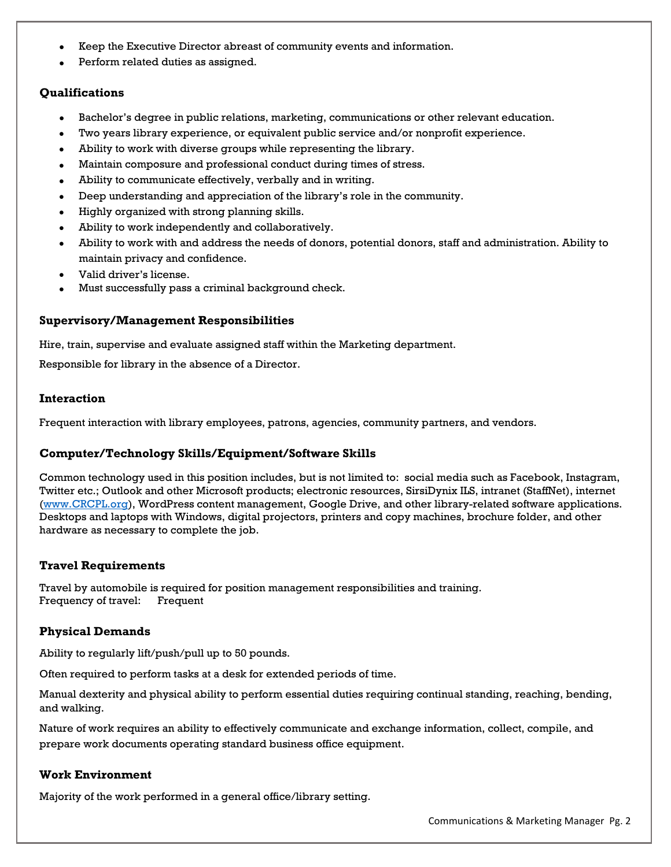- Keep the Executive Director abreast of community events and information.
- Perform related duties as assigned.

## **Qualifications**

- Bachelor's degree in public relations, marketing, communications or other relevant education.
- Two years library experience, or equivalent public service and/or nonprofit experience.
- Ability to work with diverse groups while representing the library.
- Maintain composure and professional conduct during times of stress.
- Ability to communicate effectively, verbally and in writing.
- Deep understanding and appreciation of the library's role in the community.
- Highly organized with strong planning skills.
- Ability to work independently and collaboratively.
- Ability to work with and address the needs of donors, potential donors, staff and administration. Ability to maintain privacy and confidence.
- Valid driver's license.
- Must successfully pass a criminal background check.

#### **Supervisory/Management Responsibilities**

Hire, train, supervise and evaluate assigned staff within the Marketing department.

Responsible for library in the absence of a Director.

#### **Interaction**

Frequent interaction with library employees, patrons, agencies, community partners, and vendors.

## **Computer/Technology Skills/Equipment/Software Skills**

Common technology used in this position includes, but is not limited to: social media such as Facebook, Instagram, Twitter etc.; Outlook and other Microsoft products; electronic resources, SirsiDynix ILS, intranet (StaffNet), internet [\(www.CRCPL.org\)](http://www.crcpl.org/), WordPress content management, Google Drive, and other library-related software applications. Desktops and laptops with Windows, digital projectors, printers and copy machines, brochure folder, and other hardware as necessary to complete the job.

## **Travel Requirements**

Travel by automobile is required for position management responsibilities and training. Frequency of travel: Frequent

## **Physical Demands**

Ability to regularly lift/push/pull up to 50 pounds.

Often required to perform tasks at a desk for extended periods of time.

Manual dexterity and physical ability to perform essential duties requiring continual standing, reaching, bending, and walking.

Nature of work requires an ability to effectively communicate and exchange information, collect, compile, and prepare work documents operating standard business office equipment.

## **Work Environment**

Majority of the work performed in a general office/library setting.